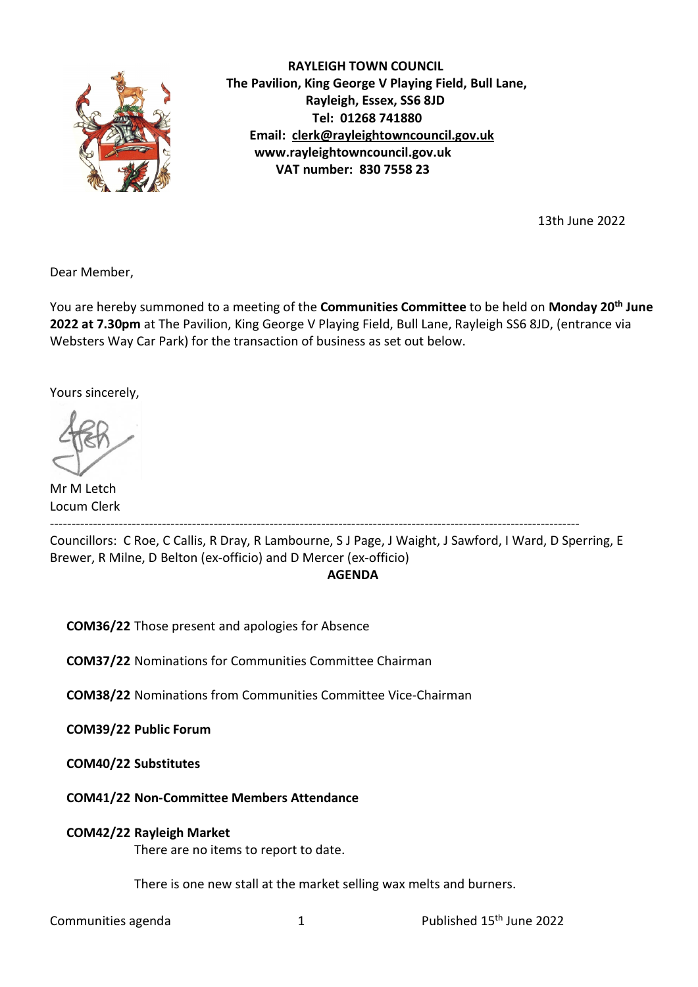

 RAYLEIGH TOWN COUNCIL The Pavilion, King George V Playing Field, Bull Lane, Rayleigh, Essex, SS6 8JD Tel: 01268 741880 Email: clerk@rayleightowncouncil.gov.uk www.rayleightowncouncil.gov.uk VAT number: 830 7558 23

13th June 2022

Dear Member,

You are hereby summoned to a meeting of the Communities Committee to be held on Monday 20<sup>th</sup> June 2022 at 7.30pm at The Pavilion, King George V Playing Field, Bull Lane, Rayleigh SS6 8JD, (entrance via Websters Way Car Park) for the transaction of business as set out below.

Yours sincerely,

Mr M Letch Locum Clerk

---------------------------------------------------------------------------------------------------------------------------

Councillors: C Roe, C Callis, R Dray, R Lambourne, S J Page, J Waight, J Sawford, I Ward, D Sperring, E Brewer, R Milne, D Belton (ex-officio) and D Mercer (ex-officio) **AGENDA** 

COM36/22 Those present and apologies for Absence

COM37/22 Nominations for Communities Committee Chairman

COM38/22 Nominations from Communities Committee Vice-Chairman

COM39/22 Public Forum

COM40/22 Substitutes

COM41/22 Non-Committee Members Attendance

# COM42/22 Rayleigh Market

There are no items to report to date.

There is one new stall at the market selling wax melts and burners.